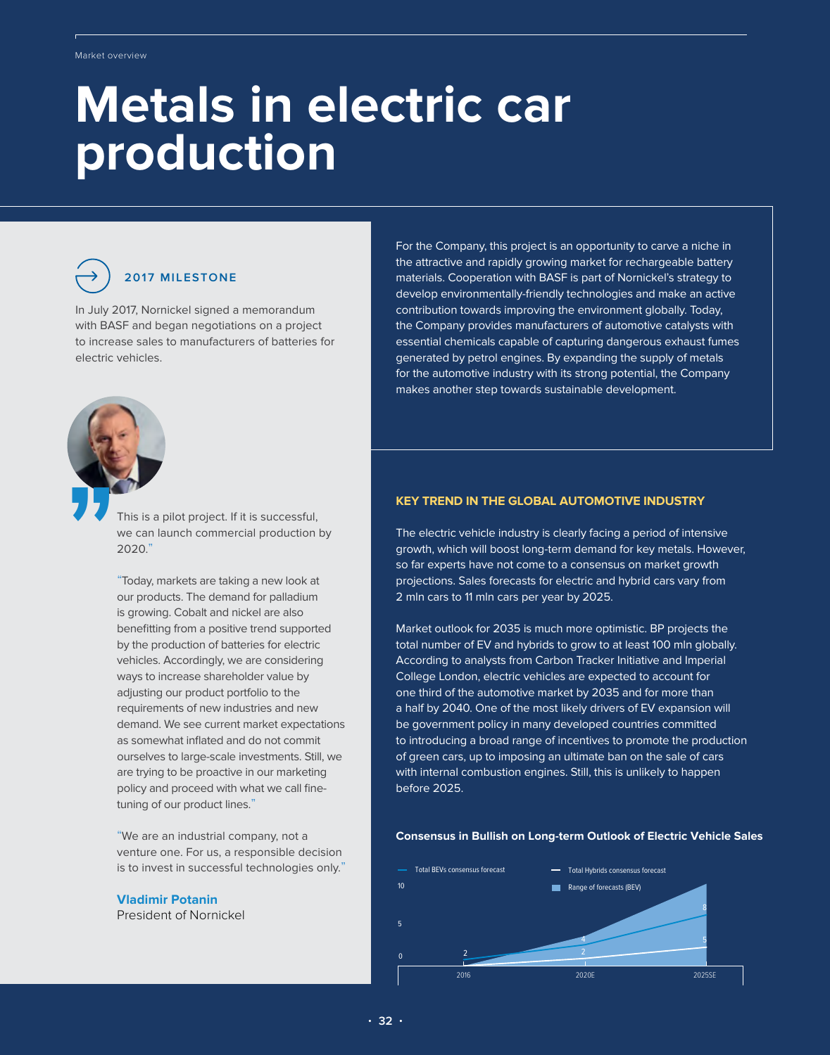# **Metals in electric car production**



# **2017 MILESTONE**

In July 2017, Nornickel signed a memorandum with BASF and began negotiations on a project to increase sales to manufacturers of batteries for electric vehicles.



This is a pilot project. If it is successful, we can launch commercial production by 2020."

"Today, markets are taking a new look at our products. The demand for palladium is growing. Cobalt and nickel are also benefitting from a positive trend supported by the production of batteries for electric vehicles. Accordingly, we are considering ways to increase shareholder value by adjusting our product portfolio to the requirements of new industries and new demand. We see current market expectations as somewhat inflated and do not commit ourselves to large-scale investments. Still, we are trying to be proactive in our marketing policy and proceed with what we call finetuning of our product lines."

"We are an industrial company, not a venture one. For us, a responsible decision is to invest in successful technologies only."

# **Vladimir Potanin**

President of Nornickel

For the Company, this project is an opportunity to carve a niche in the attractive and rapidly growing market for rechargeable battery materials. Cooperation with BASF is part of Nornickel's strategy to develop environmentally-friendly technologies and make an active contribution towards improving the environment globally. Today, the Company provides manufacturers of automotive catalysts with essential chemicals capable of capturing dangerous exhaust fumes generated by petrol engines. By expanding the supply of metals for the automotive industry with its strong potential, the Company makes another step towards sustainable development.

## **KEY TREND IN THE GLOBAL AUTOMOTIVE INDUSTRY**

The electric vehicle industry is clearly facing a period of intensive growth, which will boost long-term demand for key metals. However, so far experts have not come to a consensus on market growth projections. Sales forecasts for electric and hybrid cars vary from 2 mln cars to 11 mln cars per year by 2025.

Market outlook for 2035 is much more optimistic. BP projects the total number of EV and hybrids to grow to at least 100 mln globally. According to analysts from Carbon Tracker Initiative and Imperial College London, electric vehicles are expected to account for one third of the automotive market by 2035 and for more than a half by 2040. One of the most likely drivers of EV expansion will be government policy in many developed countries committed to introducing a broad range of incentives to promote the production of green cars, up to imposing an ultimate ban on the sale of cars with internal combustion engines. Still, this is unlikely to happen before 2025.

### **Consensus in Bullish on Long-term Outlook of Electric Vehicle Sales**